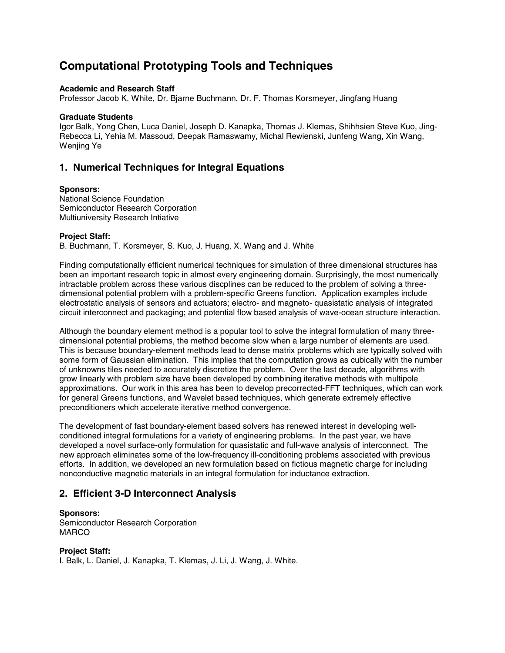# **Computational Prototyping Tools and Techniques**

#### **Academic and Research Staff**

Professor Jacob K. White, Dr. Bjarne Buchmann, Dr. F. Thomas Korsmeyer, Jingfang Huang

#### **Graduate Students**

Igor Balk, Yong Chen, Luca Daniel, Joseph D. Kanapka, Thomas J. Klemas, Shihhsien Steve Kuo, Jing-Rebecca Li, Yehia M. Massoud, Deepak Ramaswamy, Michal Rewienski, Junfeng Wang, Xin Wang, Wenjing Ye

# **1. Numerical Techniques for Integral Equations**

#### **Sponsors:**

National Science Foundation Semiconductor Research Corporation Multiuniversity Research Intiative

#### **Project Staff:**

B. Buchmann, T. Korsmeyer, S. Kuo, J. Huang, X. Wang and J. White

Finding computationally efficient numerical techniques for simulation of three dimensional structures has been an important research topic in almost every engineering domain. Surprisingly, the most numerically intractable problem across these various discplines can be reduced to the problem of solving a threedimensional potential problem with a problem-specific Greens function. Application examples include electrostatic analysis of sensors and actuators; electro- and magneto- quasistatic analysis of integrated circuit interconnect and packaging; and potential flow based analysis of wave-ocean structure interaction.

Although the boundary element method is a popular tool to solve the integral formulation of many threedimensional potential problems, the method become slow when a large number of elements are used. This is because boundary-element methods lead to dense matrix problems which are typically solved with some form of Gaussian elimination. This implies that the computation grows as cubically with the number of unknowns tiles needed to accurately discretize the problem. Over the last decade, algorithms with grow linearly with problem size have been developed by combining iterative methods with multipole approximations. Our work in this area has been to develop precorrected-FFT techniques, which can work for general Greens functions, and Wavelet based techniques, which generate extremely effective preconditioners which accelerate iterative method convergence.

The development of fast boundary-element based solvers has renewed interest in developing wellconditioned integral formulations for a variety of engineering problems. In the past year, we have developed a novel surface-only formulation for quasistatic and full-wave analysis of interconnect. The new approach eliminates some of the low-frequency ill-conditioning problems associated with previous efforts. In addition, we developed an new formulation based on fictious magnetic charge for including nonconductive magnetic materials in an integral formulation for inductance extraction.

### **2. Efficient 3-D Interconnect Analysis**

#### **Sponsors:**

Semiconductor Research Corporation MARCO

#### **Project Staff:**

I. Balk, L. Daniel, J. Kanapka, T. Klemas, J. Li, J. Wang, J. White.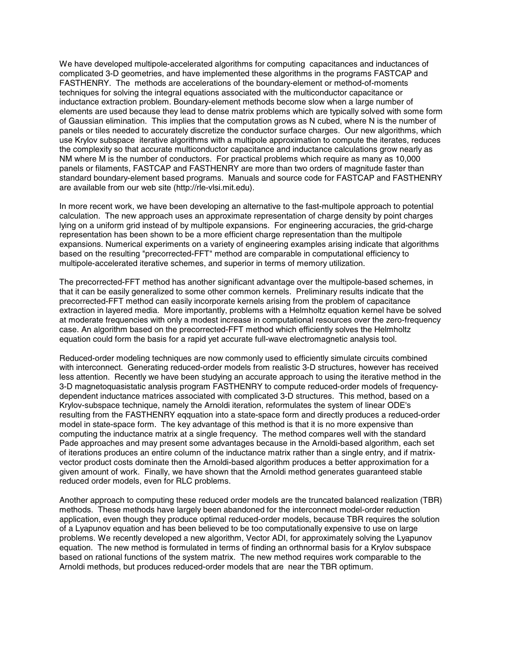We have developed multipole-accelerated algorithms for computing capacitances and inductances of complicated 3-D geometries, and have implemented these algorithms in the programs FASTCAP and FASTHENRY. The methods are accelerations of the boundary-element or method-of-moments techniques for solving the integral equations associated with the multiconductor capacitance or inductance extraction problem. Boundary-element methods become slow when a large number of elements are used because they lead to dense matrix problems which are typically solved with some form of Gaussian elimination. This implies that the computation grows as N cubed, where N is the number of panels or tiles needed to accurately discretize the conductor surface charges. Our new algorithms, which use Krylov subspace iterative algorithms with a multipole approximation to compute the iterates, reduces the complexity so that accurate multiconductor capacitance and inductance calculations grow nearly as NM where M is the number of conductors. For practical problems which require as many as 10,000 panels or filaments, FASTCAP and FASTHENRY are more than two orders of magnitude faster than standard boundary-element based programs. Manuals and source code for FASTCAP and FASTHENRY are available from our web site (http://rle-vlsi.mit.edu).

In more recent work, we have been developing an alternative to the fast-multipole approach to potential calculation. The new approach uses an approximate representation of charge density by point charges lying on a uniform grid instead of by multipole expansions. For engineering accuracies, the grid-charge representation has been shown to be a more efficient charge representation than the multipole expansions. Numerical experiments on a variety of engineering examples arising indicate that algorithms based on the resulting "precorrected-FFT" method are comparable in computational efficiency to multipole-accelerated iterative schemes, and superior in terms of memory utilization.

The precorrected-FFT method has another significant advantage over the multipole-based schemes, in that it can be easily generalized to some other common kernels. Preliminary results indicate that the precorrected-FFT method can easily incorporate kernels arising from the problem of capacitance extraction in layered media. More importantly, problems with a Helmholtz equation kernel have be solved at moderate frequencies with only a modest increase in computational resources over the zero-frequency case. An algorithm based on the precorrected-FFT method which efficiently solves the Helmholtz equation could form the basis for a rapid yet accurate full-wave electromagnetic analysis tool.

Reduced-order modeling techniques are now commonly used to efficiently simulate circuits combined with interconnect. Generating reduced-order models from realistic 3-D structures, however has received less attention. Recently we have been studying an accurate approach to using the iterative method in the 3-D magnetoquasistatic analysis program FASTHENRY to compute reduced-order models of frequencydependent inductance matrices associated with complicated 3-D structures. This method, based on a Krylov-subspace technique, namely the Arnoldi iteration, reformulates the system of linear ODE's resulting from the FASTHENRY eqquation into a state-space form and directly produces a reduced-order model in state-space form. The key advantage of this method is that it is no more expensive than computing the inductance matrix at a single frequency. The method compares well with the standard Pade approaches and may present some advantages because in the Arnoldi-based algorithm, each set of iterations produces an entire column of the inductance matrix rather than a single entry, and if matrixvector product costs dominate then the Arnoldi-based algorithm produces a better approximation for a given amount of work. Finally, we have shown that the Arnoldi method generates guaranteed stable reduced order models, even for RLC problems.

Another approach to computing these reduced order models are the truncated balanced realization (TBR) methods. These methods have largely been abandoned for the interconnect model-order reduction application, even though they produce optimal reduced-order models, because TBR requires the solution of a Lyapunov equation and has been believed to be too computationally expensive to use on large problems. We recently developed a new algorithm, Vector ADI, for approximately solving the Lyapunov equation. The new method is formulated in terms of finding an orthnormal basis for a Krylov subspace based on rational functions of the system matrix. The new method requires work comparable to the Arnoldi methods, but produces reduced-order models that are near the TBR optimum.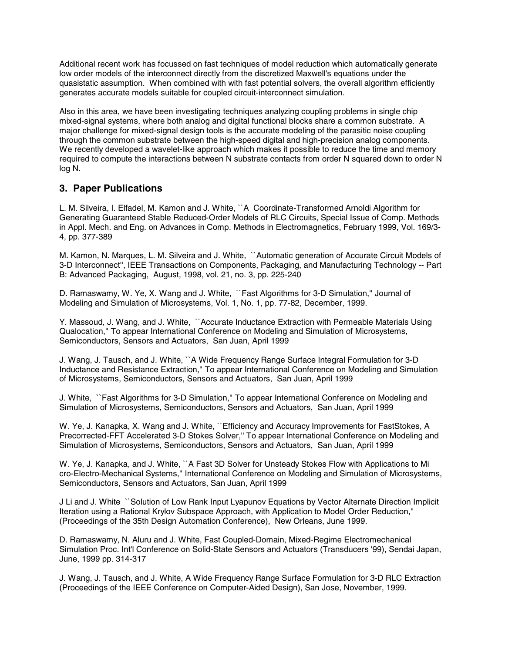Additional recent work has focussed on fast techniques of model reduction which automatically generate low order models of the interconnect directly from the discretized Maxwell's equations under the quasistatic assumption. When combined with with fast potential solvers, the overall algorithm efficiently generates accurate models suitable for coupled circuit-interconnect simulation.

Also in this area, we have been investigating techniques analyzing coupling problems in single chip mixed-signal systems, where both analog and digital functional blocks share a common substrate. A major challenge for mixed-signal design tools is the accurate modeling of the parasitic noise coupling through the common substrate between the high-speed digital and high-precision analog components. We recently developed a wavelet-like approach which makes it possible to reduce the time and memory required to compute the interactions between N substrate contacts from order N squared down to order N log N.

## **3. Paper Publications**

L. M. Silveira, I. Elfadel, M. Kamon and J. White, ``A Coordinate-Transformed Arnoldi Algorithm for Generating Guaranteed Stable Reduced-Order Models of RLC Circuits, Special Issue of Comp. Methods in Appl. Mech. and Eng. on Advances in Comp. Methods in Electromagnetics, February 1999, Vol. 169/3- 4, pp. 377-389

M. Kamon, N. Marques, L. M. Silveira and J. White, ``Automatic generation of Accurate Circuit Models of 3-D Interconnect'', IEEE Transactions on Components, Packaging, and Manufacturing Technology -- Part B: Advanced Packaging, August, 1998, vol. 21, no. 3, pp. 225-240

D. Ramaswamy, W. Ye, X. Wang and J. White, ``Fast Algorithms for 3-D Simulation,'' Journal of Modeling and Simulation of Microsystems, Vol. 1, No. 1, pp. 77-82, December, 1999.

Y. Massoud, J. Wang, and J. White, ``Accurate Inductance Extraction with Permeable Materials Using Qualocation,'' To appear International Conference on Modeling and Simulation of Microsystems, Semiconductors, Sensors and Actuators, San Juan, April 1999

J. Wang, J. Tausch, and J. White, ``A Wide Frequency Range Surface Integral Formulation for 3-D Inductance and Resistance Extraction,'' To appear International Conference on Modeling and Simulation of Microsystems, Semiconductors, Sensors and Actuators, San Juan, April 1999

J. White, ``Fast Algorithms for 3-D Simulation,'' To appear International Conference on Modeling and Simulation of Microsystems, Semiconductors, Sensors and Actuators, San Juan, April 1999

W. Ye, J. Kanapka, X. Wang and J. White, ``Efficiency and Accuracy Improvements for FastStokes, A Precorrected-FFT Accelerated 3-D Stokes Solver," To appear International Conference on Modeling and Simulation of Microsystems, Semiconductors, Sensors and Actuators, San Juan, April 1999

W. Ye, J. Kanapka, and J. White, ``A Fast 3D Solver for Unsteady Stokes Flow with Applications to Mi cro-Electro-Mechanical Systems,'' International Conference on Modeling and Simulation of Microsystems, Semiconductors, Sensors and Actuators, San Juan, April 1999

J Li and J. White ``Solution of Low Rank Input Lyapunov Equations by Vector Alternate Direction Implicit Iteration using a Rational Krylov Subspace Approach, with Application to Model Order Reduction,'' (Proceedings of the 35th Design Automation Conference), New Orleans, June 1999.

D. Ramaswamy, N. Aluru and J. White, Fast Coupled-Domain, Mixed-Regime Electromechanical Simulation Proc. Int'l Conference on Solid-State Sensors and Actuators (Transducers '99), Sendai Japan, June, 1999 pp. 314-317

J. Wang, J. Tausch, and J. White, A Wide Frequency Range Surface Formulation for 3-D RLC Extraction (Proceedings of the IEEE Conference on Computer-Aided Design), San Jose, November, 1999.